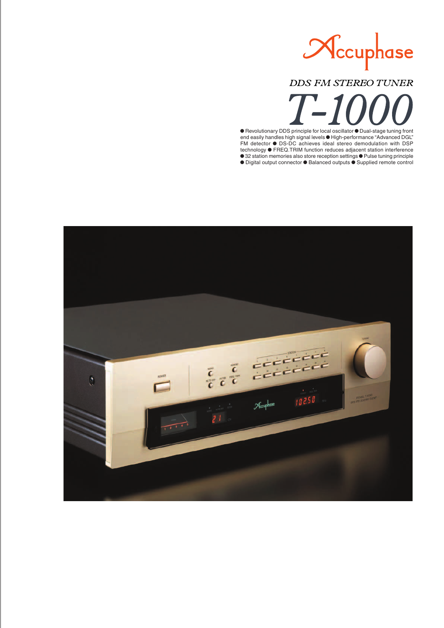

# **DDS FM STEREO TUNER**

 $\bullet$  Revolutionary DDS principle for local oscillator  $\bullet$  Dual-stage tuning front end easily handles high signal levels  $\bullet$  High-performance "Advanced DGL" FM detector  $\bullet$  DS-DC achieves ideal stereo demodulation with DSP technology  $\bullet$  FREQ.TRIM function reduces adjacent station interference ● 32 station memories also store reception settings ● Pulse tuning principle  $\bullet$  Digital output connector  $\bullet$  Balanced outputs  $\bullet$  Supplied remote control

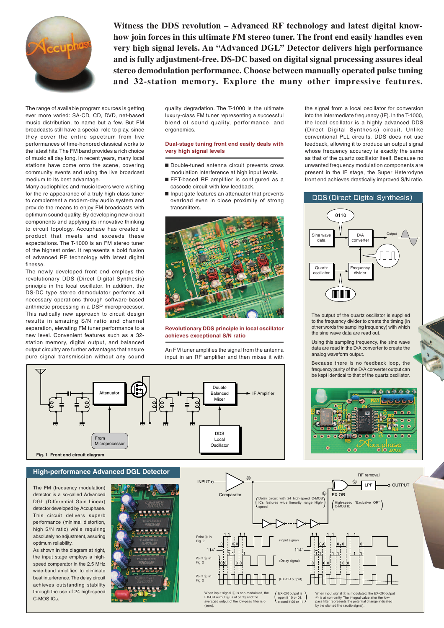

**Witness the DDS revolution** – **Advanced RF technology and latest digital knowhow join forces in this ultimate FM stereo tuner. The front end easily handles even very high signal levels. An "Advanced DGL" Detector delivers high performance and is fully adjustment-free. DS-DC based on digital signal processing assures ideal stereo demodulation performance. Choose between manually operated pulse tuning and 32-station memory. Explore the many other impressive features.**

The range of available program sources is getting ever more varied: SA-CD, CD, DVD, net-based music distribution, to name but a few. But FM broadcasts still have a special role to play, since they cover the entire spectrum from live performances of time-honored classical works to the latest hits. The FM band provides a rich choice of music all day long. In recent years, many local stations have come onto the scene, covering community events and using the live broadcast medium to its best advantage.

Many audiophiles and music lovers were wishing for the re-appearance of a truly high-class tuner to complement a modern-day audio system and provide the means to enjoy FM broadcasts with optimum sound quality. By developing new circuit components and applying its innovative thinking to circuit topology, Accuphase has created a product that meets and exceeds these expectations. The T-1000 is an FM stereo tuner of the highest order. It represents a bold fusion of advanced RF technology with latest digital finesse.

The newly developed front end employs the revolutionary DDS (Direct Digital Synthesis) principle in the local oscillator. In addition, the DS-DC type stereo demodulator performs all necessary operations through software-based arithmetic processing in a DSP microprocessor. This radically new approach to circuit design results in amazing S/N ratio and channel separation, elevating FM tuner performance to a new level. Convenient features such as a 32 station memory, digital output, and balanced output circuitry are further advantages that ensure pure signal transmission without any sound

quality degradation. The T-1000 is the ultimate luxury-class FM tuner representing a successful blend of sound quality, performance, and ergonomics.

### **Dual-stage tuning front end easily deals with very high signal levels**

- Double-tuned antenna circuit prevents cross modulation interference at high input levels.
- FET-based RF amplifier is configured as a cascode circuit with low feedback.
- $\blacksquare$  Input gate features an attenuator that prevents overload even in close proximity of strong transmitters.



### **Revolutionary DDS principle in local oscillator achieves exceptional S/N ratio**

An FM tuner amplifies the signal from the antenna input in an RF amplifier and then mixes it with

the signal from a local oscillator for conversion into the intermediate frequency (IF). In the T-1000, the local oscillator is a highly advanced DDS (Direct Digital Synthesis) circuit. Unlike conventional PLL circuits, DDS does not use feedback, allowing it to produce an output signal whose frequency accuracy is exactly the same as that of the quartz oscillator itself. Because no unwanted frequency modulation components are present in the IF stage, the Super Heterodyne front end achieves drastically improved S/N ratio.



The output of the quartz oscillator is supplied to the frequency divider to create the timing (in other words the sampling frequency) with which the sine wave data are read out.

Using this sampling frequency, the sine wave data are read in the D/A converter to create the analog waveform output.

Because there is no feedback loop, the frequency purity of the D/A converter output can be kept identical to that of the quartz oscillator.





### **High-performance Advanced DGL Detector**

The FM (frequency modulation) detector is a so-called Advanced DGL (Differential Gain Linear) detector developed by Accuphase. This circuit delivers superb performance (minimal distortion high S/N ratio) while requiring absolutely no adjustment, assuring optimum reliability.

As shown in the diagram at right, the input stage employs a highspeed comparator in the 2.5 MHz wide-band amplifier, to eliminate beat interference. The delay circuit achieves outstanding stability through the use of 24 high-speed C-MOS ICs.



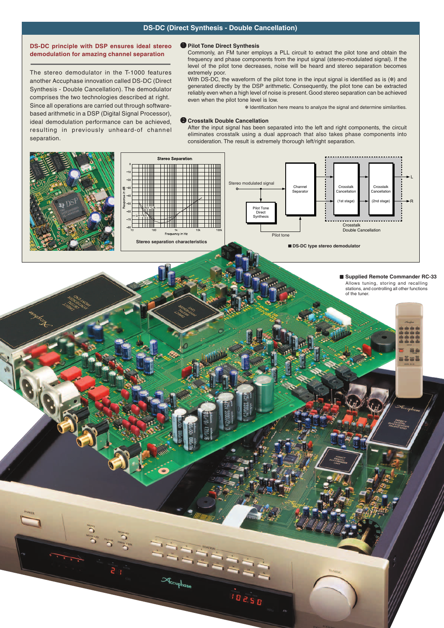## **DS-DC (Direct Synthesis - Double Cancellation)**

### **DS-DC principle with DSP ensures ideal stereo demodulation for amazing channel separation**

The stereo demodulator in the T-1000 features another Accuphase innovation called DS-DC (Direct Synthesis - Double Cancellation). The demodulator comprises the two technologies described at right. Since all operations are carried out through softwarebased arithmetic in a DSP (Digital Signal Processor), ideal demodulation performance can be achieved, resulting in previously unheard-of channel separation.

### A **Pilot Tone Direct Synthesis**

Commonly, an FM tuner employs a PLL circuit to extract the pilot tone and obtain the frequency and phase components from the input signal (stereo-modulated signal). If the level of the pilot tone decreases, noise will be heard and stereo separation becomes extremely poor.

With DS-DC, the waveform of the pilot tone in the input signal is identified as is  $(*)$  and generated directly by the DSP arithmetic. Consequently, the pilot tone can be extracted reliably even when a high level of noise is present. Good stereo separation can be achieved even when the pilot tone level is low.

✽ Identification here means to analyze the signal and determine similarities.

#### **B Crosstalk Double Cancellation**

After the input signal has been separated into the left and right components, the circuit eliminates crosstalk using a dual approach that also takes phase components into consideration. The result is extremely thorough left/right separation.